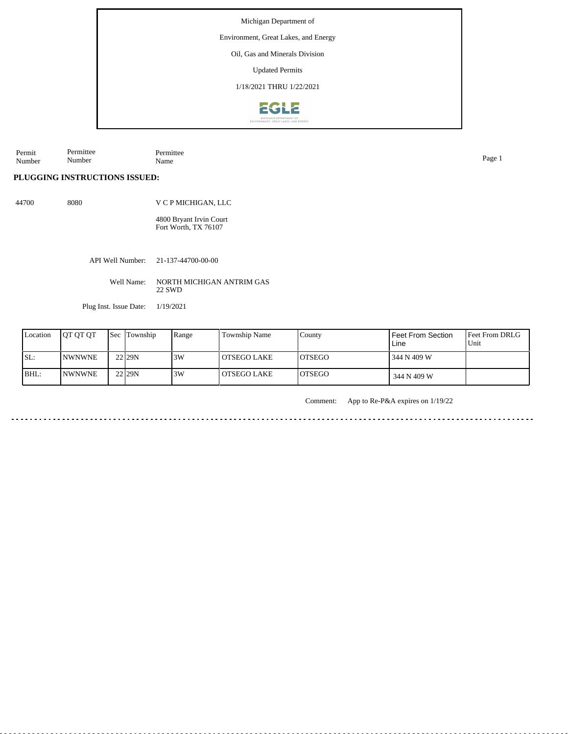Environment, Great Lakes, and Energy

Oil, Gas and Minerals Division

Updated Permits

1/18/2021 THRU 1/22/2021



Permit Number Permittee Number Permittee Name Page 1

**PLUGGING INSTRUCTIONS ISSUED:**

44700 8080 V C P MICHIGAN, LLC

> 4800 Bryant Irvin Court Fort Worth, TX 76107

API Well Number: 21-137-44700-00-00

Well Name: NORTH MICHIGAN ANTRIM GAS 22 SWD

Plug Inst. Issue Date: 1/19/2021

| Location | <b>OT OT OT</b> | <b>Sec Township</b> | Range | Township Name | County         | <b>Feet From Section</b><br>Line | <b>Feet From DRLG</b><br>Unit |
|----------|-----------------|---------------------|-------|---------------|----------------|----------------------------------|-------------------------------|
| SL:      | <b>INWNWNE</b>  | 22 29N              | 3W    | OTSEGO LAKE   | <b>LOTSEGO</b> | 344 N 409 W                      |                               |
| BHL:     | <b>INWNWNE</b>  | 22 29N              | 13W   | OTSEGO LAKE   | <b>IOTSEGO</b> | 344 N 409 W                      |                               |

Comment: App to Re-P&A expires on 1/19/22

<u>. . . . . . . . .</u>

. . . . . . . . . . . . . . . . . .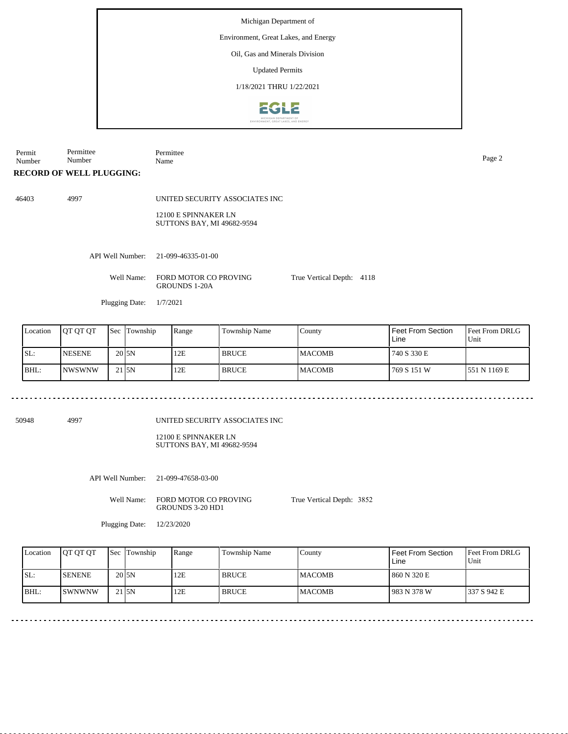Environment, Great Lakes, and Energy

Oil, Gas and Minerals Division

Updated Permits

1/18/2021 THRU 1/22/2021



Permit Number Permittee Number Permittee Name Page 2

### **RECORD OF WELL PLUGGING:**

46403 4997

UNITED SECURITY ASSOCIATES INC

12100 E SPINNAKER LN SUTTONS BAY, MI 49682-9594

API Well Number: 21-099-46335-01-00

Well Name: FORD MOTOR CO PROVING GROUNDS 1-20A

Plugging Date: 1/7/2021

| Location | <b>IOT OT OT</b> | <b>Sec</b> | Township           | Range | Township Name | County         | Feet From Section<br>Line | <b>Feet From DRLG</b><br>Unit |
|----------|------------------|------------|--------------------|-------|---------------|----------------|---------------------------|-------------------------------|
| ISL:     | <b>INESENE</b>   |            | 20 <sub>J</sub> SN | 12E   | <b>BRUCE</b>  | <b>IMACOMB</b> | 740 S 330 E               |                               |
| BHL:     | INWSWNW          |            | $21$ <sub>5N</sub> | 12E   | <b>BRUCE</b>  | <b>IMACOMB</b> | 769 S 151 W               | 1551 N 1169 E                 |

50948 4997

UNITED SECURITY ASSOCIATES INC

12100 E SPINNAKER LN SUTTONS BAY, MI 49682-9594

API Well Number: 21-099-47658-03-00

Well Name: FORD MOTOR CO PROVING GROUNDS 3-20 HD1

True Vertical Depth: 3852

True Vertical Depth: 4118

Plugging Date: 12/23/2020

| Location | <b>IOT OT OT</b> | <b>Sec Township</b>  | Range | Township Name | County         | Feet From Section<br>Line | <b>Feet From DRLG</b><br>Unit |
|----------|------------------|----------------------|-------|---------------|----------------|---------------------------|-------------------------------|
| SL:      | <b>SENENE</b>    | 20 <sub>J5N</sub>    | 12E   | <b>BRUCE</b>  | <b>IMACOMB</b> | 860 N 320 E               |                               |
| BHL:     | <b>ISWNWNW</b>   | $21$ <sub>J</sub> SN | 12E   | <b>BRUCE</b>  | <b>MACOMB</b>  | 983 N 378 W               | 1337 S 942 E                  |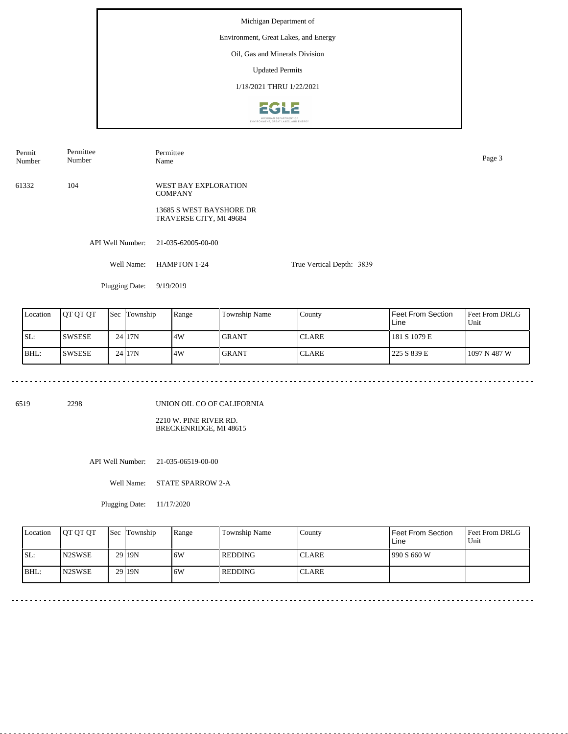### Environment, Great Lakes, and Energy

Oil, Gas and Minerals Division

Updated Permits

1/18/2021 THRU 1/22/2021



API Well Number: 21-035-62005-00-00 Well Name: HAMPTON 1-24 Plugging Date: 9/19/2019 True Vertical Depth: 3839 61332 104 WEST BAY EXPLORATION **COMPANY** 13685 S WEST BAYSHORE DR TRAVERSE CITY, MI 49684 Permit Number Permittee Number Permittee Name Page 3

| Location | IQT QT QT     | Sec | Township | Range | Township Name | County        | Feet From Section<br>Line | <b>Feet From DRLG</b><br>Unit |
|----------|---------------|-----|----------|-------|---------------|---------------|---------------------------|-------------------------------|
| SL:      | <b>SWSESE</b> |     | 24 17N   | 4W    | I GRANT       | <b>ICLARE</b> | 181 S 1079 E              |                               |
| IBHL:    | ISWSESE       |     | 24117N   | 4W    | <b>GRANT</b>  | <b>ICLARE</b> | 225 S 839 E               | 1097 N 487 W                  |

6519 2298

UNION OIL CO OF CALIFORNIA

2210 W. PINE RIVER RD. BRECKENRIDGE, MI 48615

API Well Number: 21-035-06519-00-00

Well Name: STATE SPARROW 2-A

Plugging Date: 11/17/2020

| Location | <b>IOT OT OT</b> | Sec Township | Range | Township Name | Countv       | Feet From Section<br>Line | <b>Feet From DRLG</b><br>Unit |
|----------|------------------|--------------|-------|---------------|--------------|---------------------------|-------------------------------|
| ISL:     | <b>N2SWSE</b>    | $29$  19N    | 6W    | l REDDING-    | <b>CLARE</b> | 990 S 660 W               |                               |
| BHL:     | <b>IN2SWSE</b>   | $29$  19N    | 6W    | l REDDING-    | <b>CLARE</b> |                           |                               |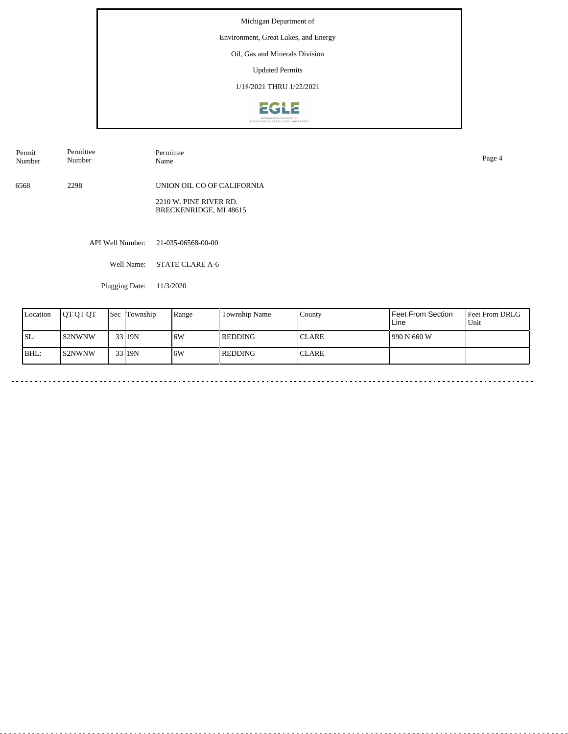Environment, Great Lakes, and Energy

Oil, Gas and Minerals Division

Updated Permits

1/18/2021 THRU 1/22/2021



API Well Number: 21-035-06568-00-00 6568 2298 UNION OIL CO OF CALIFORNIA 2210 W. PINE RIVER RD. BRECKENRIDGE, MI 48615 Permit Number Permittee Number Permittee<br>Name Name Page 4

Well Name: STATE CLARE A-6

Plugging Date: 11/3/2020

| Location | <b>IOT OT OT</b> | <b>Sec</b> | Township | Range | Township Name<br>Feet From Section<br>County<br>Line |               |              | <b>Feet From DRLG</b><br>Unit |
|----------|------------------|------------|----------|-------|------------------------------------------------------|---------------|--------------|-------------------------------|
| ISL:     | IS2NWNW          |            | 33 19N   | 6W    | REDDING                                              | <b>CLARE</b>  | 1990 N 660 W |                               |
| BHL:     | IS2NWNW          |            | 33 19N   | 16W   | REDDING                                              | <b>ICLARE</b> |              |                               |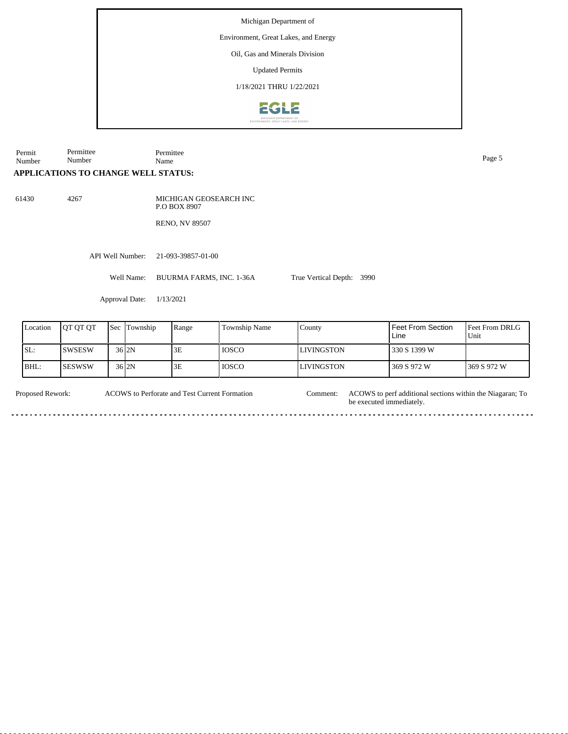Environment, Great Lakes, and Energy

Oil, Gas and Minerals Division

Updated Permits

1/18/2021 THRU 1/22/2021



Permit Number Permittee Number Permittee Name Page 5

## **APPLICATIONS TO CHANGE WELL STATUS:**

61430 4267

MICHIGAN GEOSEARCH INC P.O BOX 8907

RENO, NV 89507

API Well Number: 21-093-39857-01-00

Well Name: BUURMA FARMS, INC. 1-36A

Approval Date: 1/13/2021

| Location | <b>IOT OT OT</b> | <b>Sec</b> Township | Range | <b>Township Name</b> | County            | l Feet From Section<br>Line | Feet From DRLG<br>Unit |
|----------|------------------|---------------------|-------|----------------------|-------------------|-----------------------------|------------------------|
| ISL:     | ISWSESW          | 36 I 2N             | 3E    | <b>IOSCO</b>         | <b>LIVINGSTON</b> | 1330 S 1399 W               |                        |
| BHL:     | <b>ISESWSW</b>   | 36 <sub>2N</sub>    | 3E    | <b>IOSCO</b>         | LIVINGSTON        | 369 S 972 W                 | 1369 S 972 W           |

True Vertical Depth: 3990

ACOWS to Perforate and Test Current Formation

Proposed Rework: ACOWS to Perforate and Test Current Formation Comment: ACOWS to perf additional sections within the Niagaran; To be executed immediately. Comment: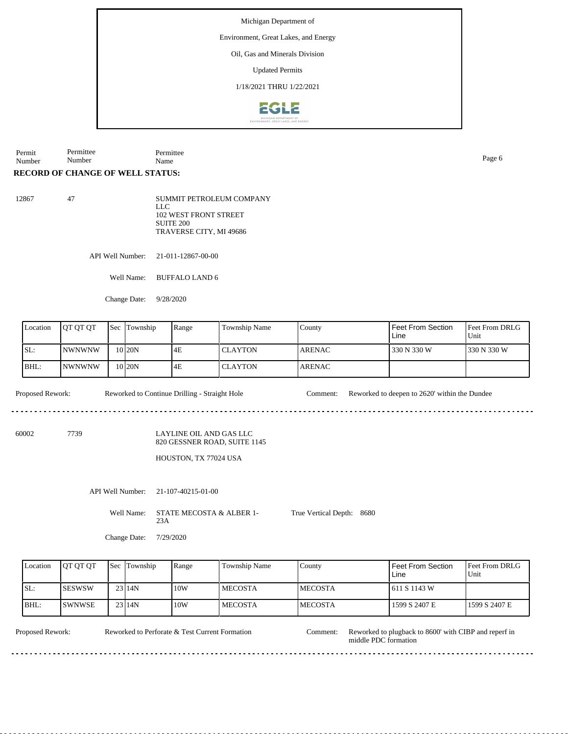Environment, Great Lakes, and Energy

Oil, Gas and Minerals Division

Updated Permits

1/18/2021 THRU 1/22/2021



Permit Number Permittee Number Permittee Name Page 6

### **RECORD OF CHANGE OF WELL STATUS:**

| SUMMIT PETROLEUM COMPANY |
|--------------------------|
| LLC.                     |
| 102 WEST FRONT STREET    |
| SUITE 200                |
| TRAVERSE CITY, MI 49686  |
|                          |

API Well Number: 21-011-12867-00-00

Well Name: BUFFALO LAND 6

Change Date: 9/28/2020

| Location | <b>IOT OT OT</b> |  | <b>Sec</b> Township<br>Range | <b>Township Name</b> | County         | <b>Feet From Section</b><br>Line | <b>Feet From DRLG</b><br>Unit |              |
|----------|------------------|--|------------------------------|----------------------|----------------|----------------------------------|-------------------------------|--------------|
| SL:      | <b>INWNWNW</b>   |  | 10 <sub>120N</sub>           | 4E                   | <b>CLAYTON</b> | <b>ARENAC</b>                    | 330 N 330 W                   | 1330 N 330 W |
| BHL:     | INWNWNW          |  | 10 <sub>120N</sub>           | 4E                   | <b>CLAYTON</b> | <b>ARENAC</b>                    |                               |              |

Proposed Rework: Reworked to Continue Drilling - Straight Hole Comment: Reworked to deepen to 2620' within the Dundee

. . . . . . . . . . . . . . . . .

60002 7739

#### LAYLINE OIL AND GAS LLC 820 GESSNER ROAD, SUITE 1145

# HOUSTON, TX 77024 USA

API Well Number: 21-107-40215-01-00

Well Name: STATE MECOSTA & ALBER 1-23A True Vertical Depth: 8680

Change Date: 7/29/2020

| Location | <b>OT OT OT</b> | <b>Sec Township</b> | Range | Township Name | County          | Feet From Section<br>Line | Feet From DRLG<br>Unit |
|----------|-----------------|---------------------|-------|---------------|-----------------|---------------------------|------------------------|
| ISL:     | ISESWSW         | 23114N              | 10W   | l MECOSTA     | <b>IMECOSTA</b> | 1 611 S 1143 W            |                        |
| BHL:     | ISWNWSE         | $23$   14N          | 10W   | l MECOSTA     | <b>IMECOSTA</b> | 1599 S 2407 E             | 1599 S 2407 E          |

Reworked to Perforate & Test Current Formation

Proposed Rework: Reworked to Perforate & Test Current Formation Comment: Reworked to plugback to 8600' with CIBP and reperf in middle PDC formation Comment: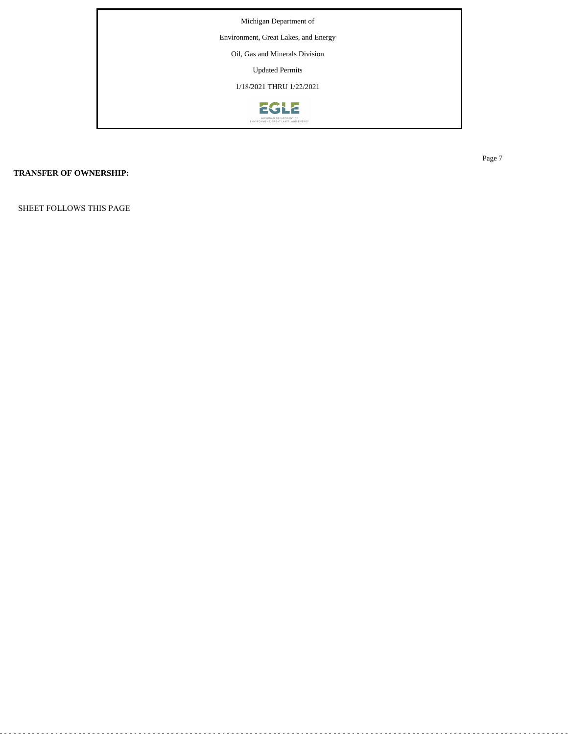

# **TRANSFER OF OWNERSHIP:**

SHEET FOLLOWS THIS PAGE

Page 7